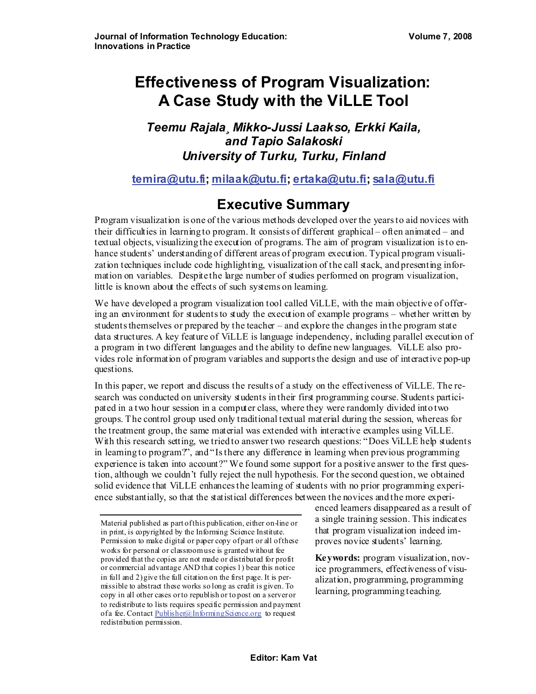# **Effectiveness of Program Visualization: A Case Study with the ViLLE Tool**

### *Teemu Rajala¸ Mikko-Jussi Laakso, Erkki Kaila, and Tapio Salakoski University of Turku, Turku, Finland*

#### **[temira@utu.fi](mailto:temira@utu.fi); [milaak@utu.fi](mailto:milaak@utu.fi); [ertaka@utu.fi](mailto:ertaka@utu.fi); [sala@utu.fi](mailto:sala@utu.fi)**

# **Executive Summary**

Program visualization is one of the various methods developed over the years to aid novices with their difficulties in learning to program. It consists of different graphical – often animated – and textual objects, visualizing the execution of programs. The aim of program visualization is to enhance students' understanding of different areas of program execution. Typical program visualization techniques include code highlighting, visualization of the call stack, and presenting information on variables. Despite the large number of studies performed on program visualization, little is known about the effects of such systems on learning.

We have developed a program visualization tool called ViLLE, with the main objective of offering an environment for students to study the execution of example programs – whether written by students themselves or prepared by the teacher – and explore the changes in the program state data structures. A key feature of ViLLE is language independency, including parallel execution of a program in two different languages and the ability to define new languages. ViLLE also provides role information of program variables and supports the design and use of interactive pop-up questions.

In this paper, we report and discuss the results of a study on the effectiveness of ViLLE. The research was conducted on university students in their first programming course. Students participated in a two hour session in a computer class, where they were randomly divided into two groups. The control group used only traditional textual material during the session, whereas for the treatment group, the same material was extended with interactive examples using ViLLE. With this research setting, we tried to answer two research questions: "Does ViLLE help students" in learning to program?", and "Is there any difference in learning when previous programming experience is taken into account?" We found some support for a positive answer to the first question, although we couldn't fully reject the null hypothesis. For the second question, we obtained solid evidence that ViLLE enhances the learning of students with no prior programming experience substantially, so that the statistical differences between the novices and the more experi-

enced learners disappeared as a result of a single training session. This indicates that program visualization indeed improves novice students' learning.

**Keywords:** program visualization, novice programmers, effectiveness of visualization, programming, programming learning, programming teaching.

Material published as part of this publication, either on-line or in print, is copyrighted by the Informing Science Institute. Permission to make digital or paper copy of part or all of these works for personal or classroom use is granted without fee provided that the copies are not made or distributed for profit or commercial advantage AND that copies 1) bear this notice in full and 2) give the full citation on the first page. It is permissible to abstract these works so long as credit is given. To copy in all other cases or to republish or to post on a server or to redistribute to lists requires specific permission and payment of a fee. Contact [Publisher@InformingScience.org](mailto:Publisher@InformingScience.org) to request redistribution permission.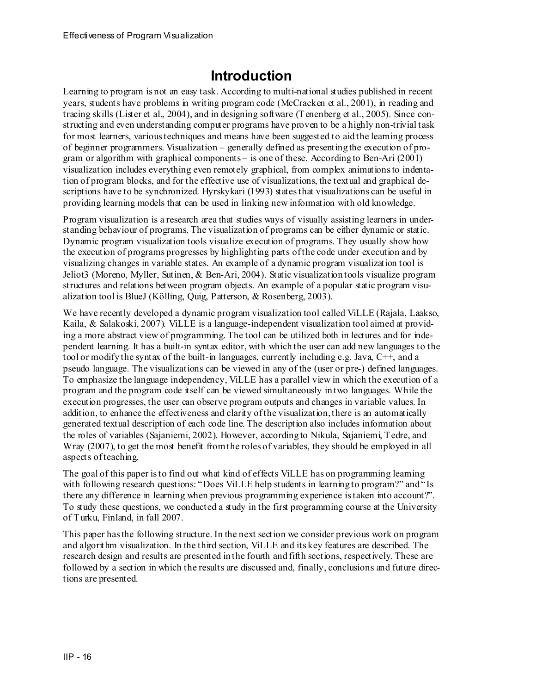# **Introduction**

Learning to program is not an easy task. According to multi-national studies published in recent years, students have problems in writing program code (McCracken et al., 2001), in reading and tracing skills (Lister et al., 2004), and in designing software (Tenenberg et al., 2005). Since constructing and even understanding computer programs have proven to be a highly non-trivial task for most learners, various techniques and means have been suggested to aid the learning process of beginner programmers. Visualization – generally defined as presenting the execution of program or algorithm with graphical components – is one of these. According to Ben-Ari (2001) visualization includes everything even remotely graphical, from complex animations to indentation of program blocks, and for the effective use of visualizations, the textual and graphical descriptions have to be synchronized. Hyrskykari (1993) states that visualizations can be useful in providing learning models that can be used in linking new information with old knowledge.

Program visualization is a research area that studies ways of visually assisting learners in understanding behaviour of programs. The visualization of programs can be either dynamic or static. Dynamic program visualization tools visualize execution of programs. They usually show how the execution of programs progresses by highlighting parts of the code under execution and by visualizing changes in variable states. An example of a dynamic program visualization tool is Jeliot3 (Moreno, Myller, Sutinen, & Ben-Ari, 2004). Static visualization tools visualize program structures and relations between program objects. An example of a popular static program visualization tool is BlueJ (Kölling, Quig, Patterson, & Rosenberg, 2003).

We have recently developed a dynamic program visualization tool called ViLLE (Rajala, Laakso, Kaila, & Salakoski, 2007). ViLLE is a language-independent visualization tool aimed at providing a more abstract view of programming. The tool can be utilized both in lectures and for independent learning. It has a built-in syntax editor, with which the user can add new languages to the tool or modify the syntax of the built-in languages, currently including e.g. Java, C++, and a pseudo language. The visualizations can be viewed in any of the (user or pre-) defined languages. To emphasize the language independency, ViLLE has a parallel view in which the execution of a program and the program code itself can be viewed simultaneously in two languages. While the execution progresses, the user can observe program outputs and changes in variable values. In addition, to enhance the effectiveness and clarity of the visualization, there is an automatically generated textual description of each code line. The description also includes information about the roles of variables (Sajaniemi, 2002). However, according to Nikula, Sajaniemi, Tedre, and Wray (2007), to get the most benefit from the roles of variables, they should be employed in all aspects of teaching.

The goal of this paper is to find out what kind of effects ViLLE has on programming learning with following research questions: "Does ViLLE help students in learning to program?" and "Is there any difference in learning when previous programming experience is taken into account?". To study these questions, we conducted a study in the first programming course at the University of Turku, Finland, in fall 2007.

This paper has the following structure. In the next section we consider previous work on program and algorithm visualization. In the third section, ViLLE and its key features are described. The research design and results are presented in the fourth and fifth sections, respectively. These are followed by a section in which the results are discussed and, finally, conclusions and future directions are presented.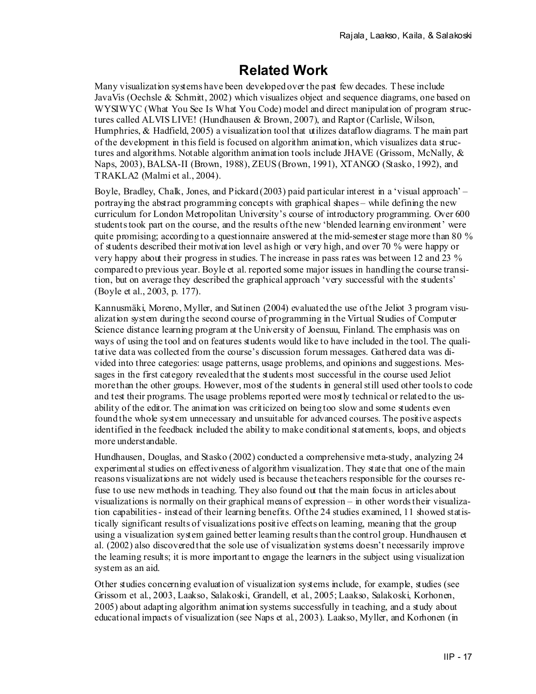# **Related Work**

Many visualization systems have been developed over the past few decades. These include JavaVis (Oechsle & Schmitt, 2002) which visualizes object and sequence diagrams, one based on WYSIWYC (What You See Is What You Code) model and direct manipulation of program structures called ALVIS LIVE! (Hundhausen & Brown, 2007), and Raptor (Carlisle, Wilson, Humphries, & Hadfield, 2005) a visualization tool that utilizes dataflow diagrams. The main part of the development in this field is focused on algorithm animation, which visualizes data structures and algorithms. Notable algorithm animation tools include JHAVE (Grissom, McNally,  $\&$ Naps, 2003), BALSA-II (Brown, 1988), ZEUS (Brown, 1991), XTANGO (Stasko, 1992), and TRAKLA2 (Malmi et al., 2004).

Boyle, Bradley, Chalk, Jones, and Pickard (2003) paid particular interest in a 'visual approach' – portraying the abstract programming concepts with graphical shapes – while defining the new curriculum for London Metropolitan University's course of introductory programming. Over 600 students took part on the course, and the results of the new 'blended learning environment' were quite promising; according to a questionnaire answered at the mid-semester stage more than 80  $\%$ of students described their motivation level as high or very high, and over 70 % were happy or very happy about their progress in studies. The increase in pass rates was between 12 and 23 % compared to previous year. Boyle et al. reported some major issues in handling the course transition, but on average they described the graphical approach 'very successful with the students' (Boyle et al., 2003, p. 177).

Kannusmäki, Moreno, Myller, and Sutinen (2004) evaluated the use of the Jeliot 3 program visualization system during the second course of programming in the Virtual Studies of Computer Science distance learning program at the University of Joensuu, Finland. The emphasis was on ways of using the tool and on features students would like to have included in the tool. The qualitative data was collected from the course's discussion forum messages. Gathered data was divided into three categories: usage patterns, usage problems, and opinions and suggestions. Messages in the first category revealed that the students most successful in the course used Jeliot more than the other groups. However, most of the students in general still used other tools to code and test their programs. The usage problems reported were mostly technical or related to the usability of the editor. The animation was criticized on being too slow and some students even found the whole system unnecessary and unsuitable for advanced courses. The positive aspects identified in the feedback included the ability to make conditional statements, loops, and objects more understandable.

Hundhausen, Douglas, and Stasko (2002) conducted a comprehensive meta-study, analyzing 24 experimental studies on effectiveness of algorithm visualization. They state that one of the main reasons visualizations are not widely used is because the teachers responsible for the courses refuse to use new methods in teaching. They also found out that the main focus in articles about visualizations is normally on their graphical means of expression – in other words their visualization capabilities - instead of their learning benefits. Of the 24 studies examined, 11 showed statistically significant results of visualizations positive effects on learning, meaning that the group using a visualization system gained better learning results than the control group. Hundhausen et al. (2002) also discovered that the sole use of visualization systems doesn't necessarily improve the learning results; it is more important to engage the learners in the subject using visualization system as an aid.

Other studies concerning evaluation of visualization systems include, for example, studies (see Grissom et al., 2003, Laakso, Salakoski, Grandell, et al., 2005; Laakso, Salakoski, Korhonen, 2005) about adapting algorithm animation systems successfully in teaching, and a study about educational impacts of visualization (see Naps et al., 2003). Laakso, Myller, and Korhonen (in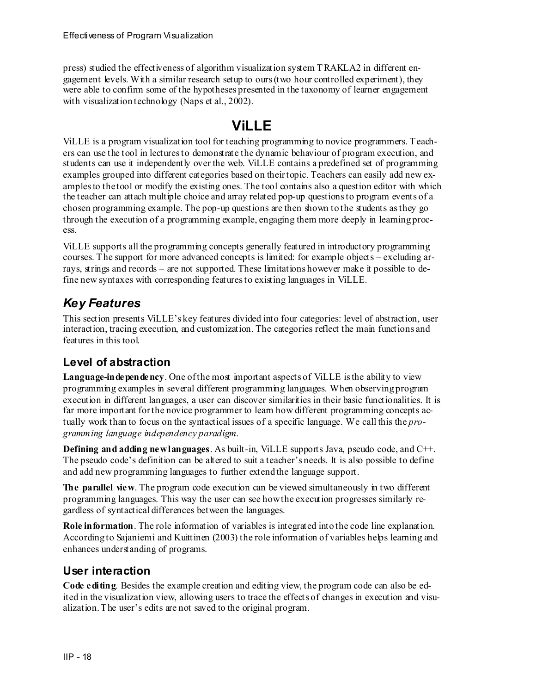press) studied the effectiveness of algorithm visualization system TRAKLA2 in different engagement levels. With a similar research setup to ours (two hour controlled experiment), they were able to confirm some of the hypotheses presented in the taxonomy of learner engagement with visualization technology (Naps et al., 2002).

# **ViLLE**

ViLLE is a program visualization tool for teaching programming to novice programmers. Teachers can use the tool in lectures to demonstrate the dynamic behaviour of program execution, and students can use it independently over the web. ViLLE contains a predefined set of programming examples grouped into different categories based on their topic. Teachers can easily add new examples to the tool or modify the existing ones. The tool contains also a question editor with which the teacher can attach multiple choice and array related pop-up questions to program events of a chosen programming example. The pop-up questions are then shown to the students as they go through the execution of a programming example, engaging them more deeply in learning process.

ViLLE supports all the programming concepts generally featured in introductory programming courses. The support for more advanced concepts is limited: for example objects – excluding arrays, strings and records – are not supported. These limitations however make it possible to define new syntaxes with corresponding features to existing languages in ViLLE.

## *Key Features*

This section presents ViLLE's key features divided into four categories: level of abstraction, user interaction, tracing execution, and customization. The categories reflect the main functions and features in this tool.

#### **Level of abstraction**

Language-independency. One of the most important aspects of ViLLE is the ability to view programming examples in several different programming languages. When observing program execution in different languages, a user can discover similarities in their basic functionalities. It is far more important for the novice programmer to learn how different programming concepts actually work than to focus on the syntactical issues of a specific language. We call this the *programming language independency paradigm*.

**Defining and adding new languages**. As built-in, ViLLE supports Java, pseudo code, and C++. The pseudo code's definition can be altered to suit a teacher's needs. It is also possible to define and add new programming languages to further extend the language support.

**The parallel view**. The program code execution can be viewed simultaneously in two different programming languages. This way the user can see how the execution progresses similarly regardless of syntactical differences between the languages.

**Role information**. The role information of variables is integrated into the code line explanation. According to Sajaniemi and Kuittinen (2003) the role information of variables helps learning and enhances understanding of programs.

#### **User interaction**

**Code editing**. Besides the example creation and editing view, the program code can also be edited in the visualization view, allowing users to trace the effects of changes in execution and visualization. The user's edits are not saved to the original program.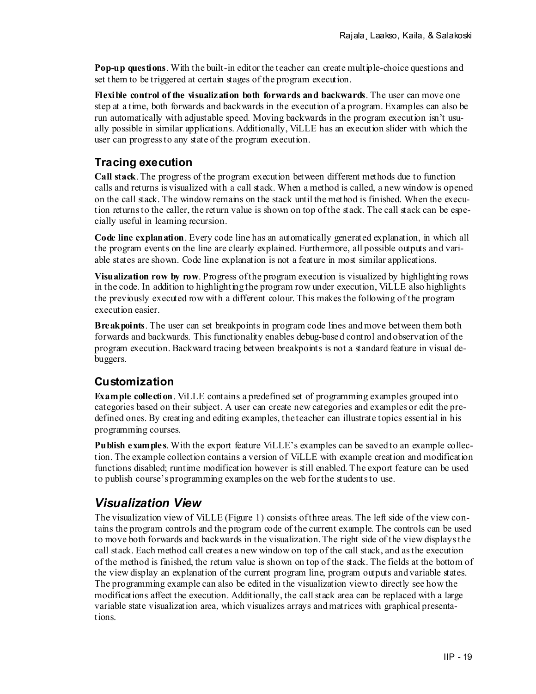**Pop-up questions**. With the built-in editor the teacher can create multiple-choice questions and set them to be triggered at certain stages of the program execution.

**Flexible control of the visualization both forwards and backwards**. The user can move one step at a time, both forwards and backwards in the execution of a program. Examples can also be run automatically with adjustable speed. Moving backwards in the program execution isn't usually possible in similar applications. Additionally, ViLLE has an execution slider with which the user can progress to any state of the program execution.

#### **Tracing execution**

**Call stack**. The progress of the program execution between different methods due to function calls and returns is visualized with a call stack. When a method is called, a new window is opened on the call stack. The window remains on the stack until the method is finished. When the execution returns to the caller, the return value is shown on top of the stack. The call stack can be especially useful in learning recursion.

**Code line explanation**. Every code line has an automatically generated explanation, in which all the program events on the line are clearly explained. Furthermore, all possible outputs and variable states are shown. Code line explanation is not a feature in most similar applications.

**Visualization row by row**. Progress of the program execution is visualized by highlighting rows in the code. In addition to highlighting the program row under execution, ViLLE also highlights the previously executed row with a different colour. This makes the following of the program execution easier.

**Breakpoints**. The user can set breakpoints in program code lines and move between them both forwards and backwards. This functionality enables debug-based control and observation of the program execution. Backward tracing between breakpoints is not a standard feature in visual debuggers.

#### **Customization**

**Example collection**. ViLLE contains a predefined set of programming examples grouped into categories based on their subject. A user can create new categories and examples or edit the predefined ones. By creating and editing examples, the teacher can illustrate topics essential in his programming courses.

**Publish examples**. With the export feature ViLLE's examples can be saved to an example collection. The example collection contains a version of ViLLE with example creation and modification functions disabled; runtime modification however is still enabled. The export feature can be used to publish course's programming examples on the web for the students to use.

### *Visualization View*

The visualization view of ViLLE (Figure 1) consists of three areas. The left side of the view contains the program controls and the program code of the current example. The controls can be used to move both forwards and backwards in the visualization. The right side of the view displays the call stack. Each method call creates a new window on top of the call stack, and as the execution of the method is finished, the return value is shown on top of the stack. The fields at the bottom of the view display an explanation of the current program line, program outputs and variable states. The programming example can also be edited in the visualization view to directly see how the modifications affect the execution. Additionally, the call stack area can be replaced with a large variable state visualization area, which visualizes arrays and matrices with graphical presentations.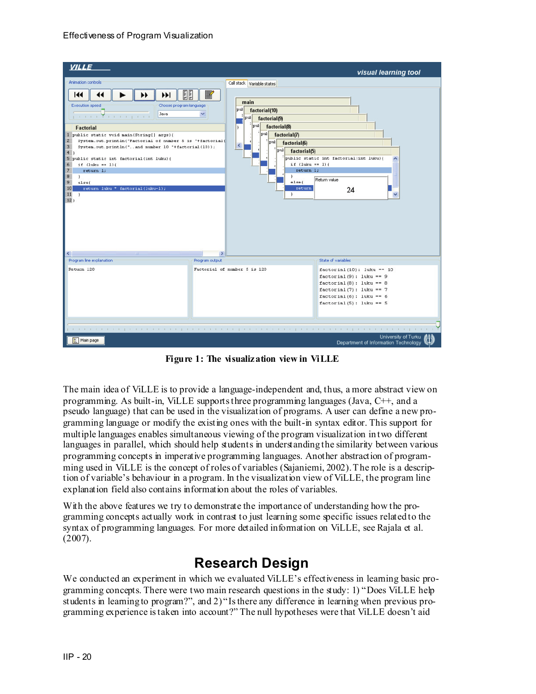| <b>VILLE</b>                                                                                                                                                                                                                                                                                                                                                                                                                                                                                                                                                                                 |                                                                                                                                                                                                                                                                                                                                   | visual learning tool                                                                                                                                                               |
|----------------------------------------------------------------------------------------------------------------------------------------------------------------------------------------------------------------------------------------------------------------------------------------------------------------------------------------------------------------------------------------------------------------------------------------------------------------------------------------------------------------------------------------------------------------------------------------------|-----------------------------------------------------------------------------------------------------------------------------------------------------------------------------------------------------------------------------------------------------------------------------------------------------------------------------------|------------------------------------------------------------------------------------------------------------------------------------------------------------------------------------|
| Animation controls                                                                                                                                                                                                                                                                                                                                                                                                                                                                                                                                                                           | Call stack Variable states                                                                                                                                                                                                                                                                                                        |                                                                                                                                                                                    |
| E E<br>$\blacktriangleright$<br>144<br><b>Execution speed</b><br>Choose program language<br>Java<br>para a Transport<br>Factorial<br>$1\,$<br>public static void main(String[] args) {<br>$\overline{c}$<br>System.out.println("Factorial of number 5 is "+factorial(<br>3<br>System.out.println("and number 10 "+factorial(10));<br>4)<br>5<br>public static int factorial(int luku){<br>6<br>if $(lubtu == 1)$ (<br>$\overline{\phantom{a}}$<br>return 1;<br>$\boldsymbol{8}$<br>$\lambda$<br>9<br>elsef<br>return luku * factorial(luku-l);<br>10<br>11<br>$\ddot{\phantom{1}}$<br>$12$ } | main<br>$ _{\text{put}} $<br>factorial(10)<br>pul factorial(9)<br>$\left  \text{pul} \right $ factorial(8)<br>ı<br>$ p u $ factorial(7)<br>pul factorial(6)<br>$\overline{\phantom{a}}$<br>$\frac{1}{2}$ [pul factorial(5)<br>if $(luku == 1)$ (<br>return 1;<br>$\mathcal{F}$<br>else<br>return<br>$\mathbf{r}$<br>$\rightarrow$ | public static int factorial (int luku) {<br>Return value<br>24                                                                                                                     |
| Program line explanation                                                                                                                                                                                                                                                                                                                                                                                                                                                                                                                                                                     | Program output                                                                                                                                                                                                                                                                                                                    | State of variables                                                                                                                                                                 |
| Return 120                                                                                                                                                                                                                                                                                                                                                                                                                                                                                                                                                                                   | Factorial of number 5 is 120                                                                                                                                                                                                                                                                                                      | $factorial(10)$ : luku == 10<br>$factorial(9)$ : luku == 9<br>$factorial(8)$ : luku == 8<br>$factorial(7)$ : luku == 7<br>$factorial(6)$ : luku == 6<br>$factorial(5)$ : luku == 5 |
|                                                                                                                                                                                                                                                                                                                                                                                                                                                                                                                                                                                              |                                                                                                                                                                                                                                                                                                                                   |                                                                                                                                                                                    |
| Main page                                                                                                                                                                                                                                                                                                                                                                                                                                                                                                                                                                                    |                                                                                                                                                                                                                                                                                                                                   | University of Turku<br>Department of Information Technology                                                                                                                        |

**Figure 1: The visualization view in ViLLE** 

The main idea of ViLLE is to provide a language-independent and, thus, a more abstract view on programming. As built-in, ViLLE supports three programming languages (Java, C++, and a pseudo language) that can be used in the visualization of programs. A user can define a new programming language or modify the existing ones with the built-in syntax editor. This support for multiple languages enables simultaneous viewing of the program visualization in two different languages in parallel, which should help students in understanding the similarity between various programming concepts in imperative programming languages. Another abstraction of programming used in ViLLE is the concept of roles of variables (Sajaniemi, 2002). The role is a description of variable's behaviour in a program. In the visualization view of ViLLE, the program line explanation field also contains information about the roles of variables.

With the above features we try to demonstrate the importance of understanding how the programming concepts actually work in contrast to just learning some specific issues related to the syntax of programming languages*.* For more detailed information on ViLLE, see Rajala et al.  $(2007)$ .

# **Research Design**

We conducted an experiment in which we evaluated ViLLE's effectiveness in learning basic programming concepts. There were two main research questions in the study: 1) "Does ViLLE help students in learning to program?", and 2) "Is there any difference in learning when previous programming experience is taken into account?" The null hypotheses were that ViLLE doesn't aid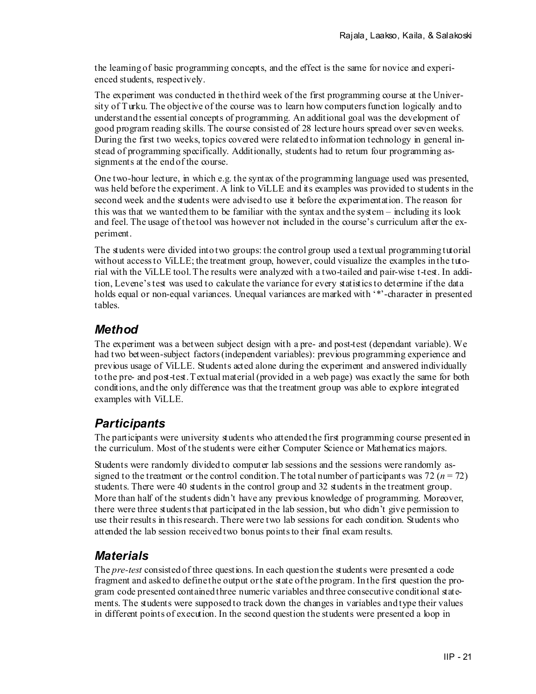the learning of basic programming concepts, and the effect is the same for novice and experienced students, respectively.

The experiment was conducted in the third week of the first programming course at the University of Turku. The objective of the course was to learn how computers function logically and to understand the essential concepts of programming. An additional goal was the development of good program reading skills. The course consisted of 28 lecture hours spread over seven weeks. During the first two weeks, topics covered were related to information technology in general instead of programming specifically. Additionally, students had to return four programming assignments at the end of the course.

One two-hour lecture, in which e.g. the syntax of the programming language used was presented, was held before the experiment. A link to ViLLE and its examples was provided to students in the second week and the students were advised to use it before the experimentation. The reason for this was that we wanted them to be familiar with the syntax and the system – including its look and feel. The usage of the tool was however not included in the course's curriculum after the experiment.

The students were divided into two groups: the control group used a textual programming tutorial without access to ViLLE; the treatment group, however, could visualize the examples in the tutorial with the ViLLE tool. The results were analyzed with a two-tailed and pair-wise t-test. In addition, Levene's test was used to calculate the variance for every statistics to determine if the data holds equal or non-equal variances. Unequal variances are marked with '\*'-character in presented tables.

### *Method*

The experiment was a between subject design with a pre- and post-test (dependant variable). We had two between-subject factors (independent variables): previous programming experience and previous usage of ViLLE. Students acted alone during the experiment and answered individually to the pre- and post-test. Textual material (provided in a web page) was exactly the same for both conditions, and the only difference was that the treatment group was able to explore integrated examples with ViLLE.

## *Participants*

The participants were university students who attended the first programming course presented in the curriculum. Most of the students were either Computer Science or Mathematics majors.

Students were randomly divided to computer lab sessions and the sessions were randomly assigned to the treatment or the control condition. The total number of participants was  $72 (n = 72)$ students. There were 40 students in the control group and 32 students in the treatment group. More than half of the students didn't have any previous knowledge of programming. Moreover, there were three students that participated in the lab session, but who didn't give permission to use their results in this research. There were two lab sessions for each condition. Students who attended the lab session received two bonus points to their final exam results.

### *Materials*

The *pre-test* consisted of three questions. In each question the students were presented a code fragment and asked to define the output or the state of the program. In the first question the program code presented contained three numeric variables and three consecutive conditional statements. The students were supposed to track down the changes in variables and type their values in different points of execution. In the second question the students were presented a loop in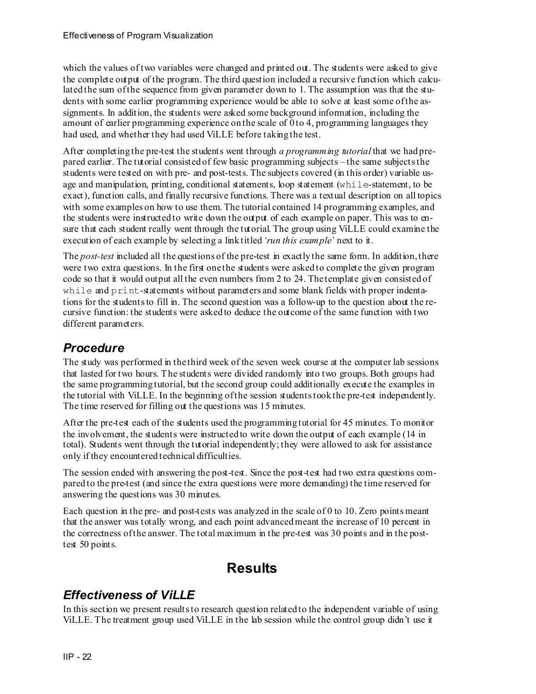which the values of two variables were changed and printed out. The students were asked to give the complete output of the program. The third question included a recursive function which calculated the sum of the sequence from given parameter down to 1. The assumption was that the students with some earlier programming experience would be able to solve at least some of the assignments. In addition, the students were asked some background information, including the amount of earlier programming experience on the scale of 0 to 4, programming languages they had used, and whether they had used ViLLE before taking the test.

After completing the pre-test the students went through *a programming tutorial* that we had prepared earlier. The tutorial consisted of few basic programming subjects – the same subjects the students were tested on with pre- and post-tests. The subjects covered (in this order) variable usage and manipulation, printing, conditional statements, loop statement (while-statement, to be exact), function calls, and finally recursive functions. There was a textual description on all topics with some examples on how to use them. The tutorial contained 14 programming examples, and the students were instructed to write down the output of each example on paper. This was to ensure that each student really went through the tutorial. The group using ViLLE could examine the execution of each example by selecting a link titled *'run this example'* next to it.

The *post-test* included all the questions of the pre-test in exactly the same form. In addition, there were two extra questions. In the first one the students were asked to complete the given program code so that it would output all the even numbers from 2 to 24. The template given consisted of while and print-statements without parameters and some blank fields with proper indentations for the students to fill in. The second question was a follow-up to the question about the recursive function: the students were asked to deduce the outcome of the same function with two different parameters.

#### *Procedure*

The study was performed in the third week of the seven week course at the computer lab sessions that lasted for two hours. The students were divided randomly into two groups. Both groups had the same programming tutorial, but the second group could additionally execute the examples in the tutorial with ViLLE. In the beginning of the session students took the pre-test independently. The time reserved for filling out the questions was 15 minutes.

After the pre-test each of the students used the programming tutorial for 45 minutes. To monitor the involvement, the students were instructed to write down the output of each example (14 in total). Students went through the tutorial independently; they were allowed to ask for assistance only if they encountered technical difficulties.

The session ended with answering the post-test. Since the post-test had two extra questions compared to the pre-test (and since the extra questions were more demanding) the time reserved for answering the questions was 30 minutes.

Each question in the pre- and post-tests was analyzed in the scale of 0 to 10. Zero points meant that the answer was totally wrong, and each point advanced meant the increase of 10 percent in the correctness of the answer. The total maximum in the pre-test was 30 points and in the posttest 50 points.

## **Results**

#### *Effectiveness of ViLLE*

In this section we present results to research question related to the independent variable of using ViLLE. The treatment group used ViLLE in the lab session while the control group didn't use it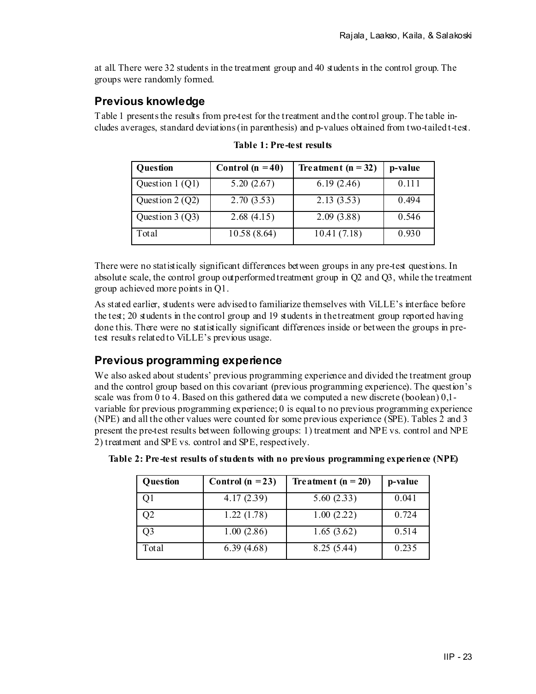at all. There were 32 students in the treatment group and 40 students in the control group. The groups were randomly formed.

#### **Previous knowledge**

Table 1 presents the results from pre-test for the treatment and the control group. The table includes averages, standard deviations (in parenthesis) and p-values obtained from two-tailed t-test.

| Question         | Control $(n = 40)$ | Treatment $(n = 32)$ | p-value |
|------------------|--------------------|----------------------|---------|
| Question 1 (Q1)  | 5.20(2.67)         | 6.19(2.46)           | 0.111   |
| Question $2(Q2)$ | 2.70(3.53)         | 2.13(3.53)           | 0.494   |
| Question $3(Q3)$ | 2.68(4.15)         | 2.09(3.88)           | 0.546   |
| Total            | 10.58(8.64)        | 10.41(7.18)          | 0.930   |

**Table 1: Pre-test results** 

There were no statistically significant differences between groups in any pre-test questions. In absolute scale, the control group outperformed treatment group in Q2 and Q3, while the treatment group achieved more points in Q1.

As stated earlier, students were advised to familiarize themselves with ViLLE's interface before the test; 20 students in the control group and 19 students in the treatment group reported having done this. There were no statistically significant differences inside or between the groups in pretest results related to ViLLE's previous usage.

#### **Previous programming experience**

We also asked about students' previous programming experience and divided the treatment group and the control group based on this covariant (previous programming experience). The question's scale was from  $\overline{0}$  to  $\overline{4}$ . Based on this gathered data we computed a new discrete (boolean) 0,1variable for previous programming experience; 0 is equal to no previous programming experience (NPE) and all the other values were counted for some previous experience (SPE). Tables 2 and 3 present the pre-test results between following groups: 1) treatment and NPE vs. control and NPE 2) treatment and SPE vs. control and SPE, respectively.

| Question       | Control $(n = 23)$ | Treatment $(n = 20)$ | p-value |
|----------------|--------------------|----------------------|---------|
| Q1             | 4.17(2.39)         | 5.60(2.33)           | 0.041   |
| Q <sub>2</sub> | 1.22(1.78)         | 1.00(2.22)           | 0.724   |
| Q3             | 1.00(2.86)         | 1.65(3.62)           | 0.514   |
| Total          | 6.39(4.68)         | 8.25 (5.44)          | 0.235   |

| Table 2: Pre-test results of students with no previous programming experience (NPE) |  |  |  |
|-------------------------------------------------------------------------------------|--|--|--|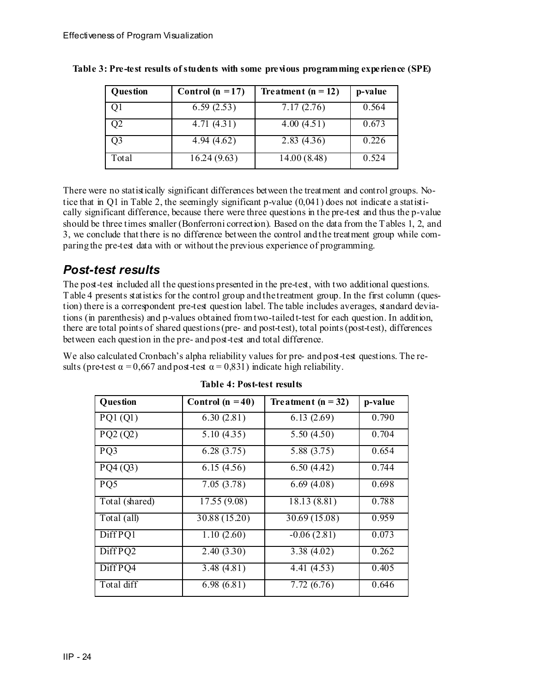| Question       | Control $(n = 17)$ | Treatment $(n = 12)$ | p-value |
|----------------|--------------------|----------------------|---------|
| Q1             | 6.59(2.53)         | 7.17(2.76)           | 0.564   |
| Q <sub>2</sub> | 4.71(4.31)         | 4.00(4.51)           | 0.673   |
| Q3             | 4.94(4.62)         | 2.83(4.36)           | 0.226   |
| Total          | 16.24(9.63)        | 14.00(8.48)          | 0.524   |

| Table 3: Pre-test results of students with some previous programming experience (SPE) |  |  |  |
|---------------------------------------------------------------------------------------|--|--|--|

There were no statistically significant differences between the treatment and control groups. Notice that in Q1 in Table 2, the seemingly significant p-value (0,041) does not indicate a statistically significant difference, because there were three questions in the pre-test and thus the p-value should be three times smaller (Bonferroni correction). Based on the data from the Tables 1, 2, and 3, we conclude that there is no difference between the control and the treatment group while comparing the pre-test data with or without the previous experience of programming.

#### *Post-test results*

The post-test included all the questions presented in the pre-test, with two additional questions. Table 4 presents statistics for the control group and the treatment group. In the first column (question) there is a correspondent pre-test question label. The table includes averages, standard deviations (in parenthesis) and p-values obtained from two-tailed t-test for each question. In addition, there are total points of shared questions (pre- and post-test), total points (post-test), differences between each question in the pre- and post-test and total difference.

We also calculated Cronbach's alpha reliability values for pre- and post-test questions. The results (pre-test  $\alpha = 0.667$  and post-test  $\alpha = 0.831$ ) indicate high reliability.

| Question              | Control $(n = 40)$ | Treatment $(n = 32)$       | p-value |
|-----------------------|--------------------|----------------------------|---------|
| PQ1(Q1)               | 6.30(2.81)         | 6.13(2.69)                 | 0.790   |
| $\overline{PQ2}$ (Q2) | 5.10(4.35)         | 5.50(4.50)                 | 0.704   |
| PQ3                   | 6.28(3.75)         | 5.88 (3.75)                | 0.654   |
| PQ4(Q3)               | 6.15(4.56)         | 6.50(4.42)                 | 0.744   |
| PQ5                   | 7.05(3.78)         | 6.69(4.08)                 | 0.698   |
| Total (shared)        | 17.55 (9.08)       | 18.13 (8.81)               | 0.788   |
| Total (all)           | 30.88 (15.20)      | $\overline{30.69}$ (15.08) | 0.959   |
| Diff PQ1              | 1.10(2.60)         | $-0.06(2.81)$              | 0.073   |
| Diff PQ2              | 2.40(3.30)         | 3.38(4.02)                 | 0.262   |
| Diff PQ4              | 3.48(4.81)         | 4.41 (4.53)                | 0.405   |
| Total diff            | 6.98(6.81)         | 7.72(6.76)                 | 0.646   |

**Table 4: Post-test results**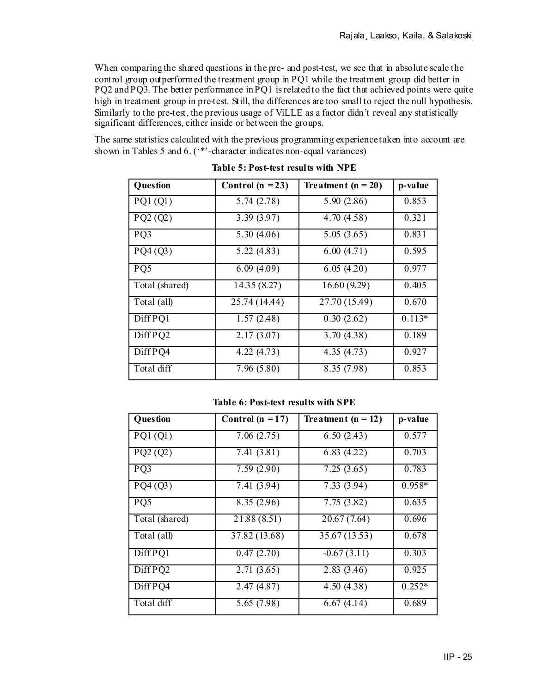When comparing the shared questions in the pre- and post-test, we see that in absolute scale the control group outperformed the treatment group in PQ1 while the treatment group did better in PQ2 and PQ3. The better performance in PQ1 is related to the fact that achieved points were quite high in treatment group in pre-test. Still, the differences are too small to reject the null hypothesis. Similarly to the pre-test, the previous usage of ViLLE as a factor didn't reveal any statistically significant differences, either inside or between the groups.

The same statistics calculated with the previous programming experience taken into account are shown in Tables 5 and 6. ('\*'-character indicates non-equal variances)

| Question       | Control $(n = 23)$ | Treatment $(n = 20)$      | p-value  |
|----------------|--------------------|---------------------------|----------|
| PQ1(Q1)        | 5.74(2.78)         | 5.90(2.86)                | 0.853    |
| PQ2(Q2)        | 3.39(3.97)         | 4.70(4.58)                | 0.321    |
| PQ3            | 5.30(4.06)         | 5.05(3.65)                | 0.831    |
| PQ4(Q3)        | 5.22(4.83)         | 6.00(4.71)                | 0.595    |
| PQ5            | 6.09(4.09)         | 6.05(4.20)                | 0.977    |
| Total (shared) | 14.35 (8.27)       | 16.60(9.29)               | 0.405    |
| Total (all)    | 25.74 (14.44)      | $\overline{27.70(15.49)}$ | 0.670    |
| Diff PQ1       | 1.57(2.48)         | 0.30(2.62)                | $0.113*$ |
| Diff PQ2       | 2.17(3.07)         | 3.70(4.38)                | 0.189    |
| Diff PQ4       | 4.22(4.73)         | 4.35(4.73)                | 0.927    |
| Total diff     | 7.96(5.80)         | 8.35 (7.98)               | 0.853    |

**Table 5: Post-test results with NPE** 

**Table 6: Post-test results with SPE** 

| Question             | Control ( $n = 17$ ) | Treatment $(n = 12)$ | p-value  |
|----------------------|----------------------|----------------------|----------|
| PQ1(Q1)              | 7.06(2.75)           | 6.50(2.43)           | 0.577    |
| PQ2(Q2)              | 7.41(3.81)           | 6.83(4.22)           | 0.703    |
| PQ3                  | 7.59(2.90)           | 7.25(3.65)           | 0.783    |
| PQ4(Q3)              | 7.41 (3.94)          | 7.33(3.94)           | $0.958*$ |
| PQ5                  | 8.35 (2.96)          | 7.75(3.82)           | 0.635    |
| Total (shared)       | 21.88 (8.51)         | 20.67(7.64)          | 0.696    |
| Total (all)          | 37.82 (13.68)        | 35.67 (13.53)        | 0.678    |
| Diff PQ1             | 0.47(2.70)           | $-0.67(3.11)$        | 0.303    |
| Diff PQ2             | 2.71(3.65)           | 2.83(3.46)           | 0.925    |
| $\overline{Diff}PQ4$ | 2.47(4.87)           | 4.50(4.38)           | $0.252*$ |
| Total diff           | 5.65 (7.98)          | 6.67(4.14)           | 0.689    |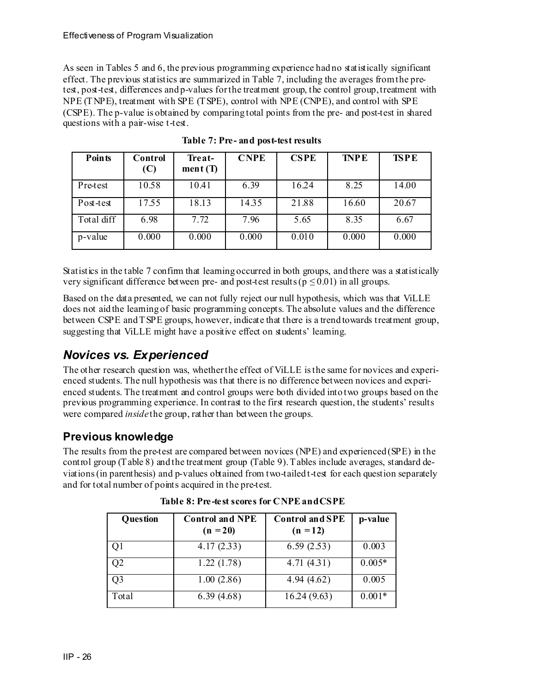As seen in Tables 5 and 6, the previous programming experience had no statistically significant effect. The previous statistics are summarized in Table 7, including the averages from the pretest, post-test, differences and p-values for the treatment group, the control group, treatment with NPE (TNPE), treatment with SPE (TSPE), control with NPE (CNPE), and control with SPE (CSPE). The p-value is obtained by comparing total points from the pre- and post-test in shared questions with a pair-wise t-test.

| <b>Points</b> | Control<br>(C) | Treat-<br>ment(T) | <b>CNPE</b> | <b>CSPE</b> | <b>TNPE</b> | <b>TSPE</b> |
|---------------|----------------|-------------------|-------------|-------------|-------------|-------------|
| Pre-test      | 10.58          | 10.41             | 6.39        | 16.24       | 8.25        | 14.00       |
| Post-test     | 17.55          | 18.13             | 14.35       | 21.88       | 16.60       | 20.67       |
| Total diff    | 6.98           | 7.72              | 7.96        | 5.65        | 8.35        | 6.67        |
| p-value       | 0.000          | 0.000             | 0.000       | 0.010       | 0.000       | 0.000       |

**Table 7: Pre- and post-test results** 

Statistics in the table 7 confirm that learning occurred in both groups, and there was a statistically very significant difference between pre- and post-test results ( $p \le 0.01$ ) in all groups.

Based on the data presented, we can not fully reject our null hypothesis, which was that ViLLE does not aid the learning of basic programming concepts. The absolute values and the difference between CSPE and TSPE groups, however, indicate that there is a trend towards treatment group, suggesting that ViLLE might have a positive effect on students' learning.

### *Novices vs. Experienced*

The other research question was, whether the effect of ViLLE is the same for novices and experienced students. The null hypothesis was that there is no difference between novices and experienced students. The treatment and control groups were both divided into two groups based on the previous programming experience. In contrast to the first research question, the students' results were compared *inside* the group, rather than between the groups.

#### **Previous knowledge**

The results from the pre-test are compared between novices (NPE) and experienced (SPE) in the control group (Table 8) and the treatment group (Table 9). Tables include averages, standard deviations (in parenthesis) and p-values obtained from two-tailed t-test for each question separately and for total number of points acquired in the pre-test.

| <b>Question</b> | <b>Control and NPE</b><br>$(n = 20)$ | <b>Control and SPE</b><br>$(n = 12)$ | p-value  |
|-----------------|--------------------------------------|--------------------------------------|----------|
| Q1              | 4.17(2.33)                           | 6.59(2.53)                           | 0.003    |
| Q2              | 1.22(1.78)                           | 4.71(4.31)                           | $0.005*$ |
| Q <sub>3</sub>  | 1.00(2.86)                           | 4.94(4.62)                           | 0.005    |
| Total           | 6.39(4.68)                           | 16.24(9.63)                          | $0.001*$ |

**Table 8: Pre-test scores for CNPE and CSPE**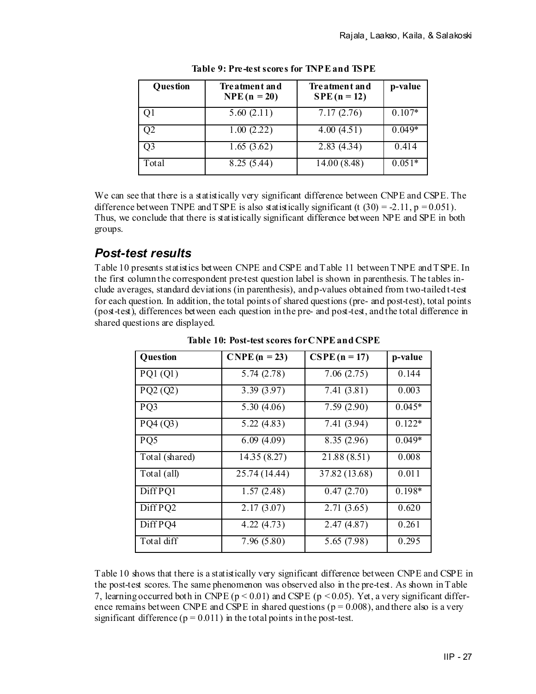| Question | Treatment and<br>$NPE(n = 20)$ | Tre atment and<br>$SPE(n = 12)$ | p-value  |
|----------|--------------------------------|---------------------------------|----------|
|          | 5.60(2.11)                     | 7.17(2.76)                      | $0.107*$ |
| Q2       | 1.00(2.22)                     | 4.00(4.51)                      | $0.049*$ |
| Q3       | 1.65(3.62)                     | 2.83(4.34)                      | 0.414    |
| Total    | 8.25 (5.44)                    | 14.00(8.48)                     | $0.051*$ |

**Table 9: Pre-test scores for TNPE and TSPE** 

We can see that there is a statistically very significant difference between CNPE and CSPE. The difference between TNPE and TSPE is also statistically significant (t  $(30) = -2.11$ ,  $p = 0.051$ ). Thus, we conclude that there is statistically significant difference between NPE and SPE in both groups.

#### *Post-test results*

Table 10 presents statistics between CNPE and CSPE and Table 11 between TNPE and TSPE. In the first column the correspondent pre-test question label is shown in parenthesis. The tables include averages, standard deviations (in parenthesis), and p-values obtained from two-tailed t-test for each question. In addition, the total points of shared questions (pre- and post-test), total points (post-test), differences between each question in the pre- and post-test, and the total difference in shared questions are displayed.

| Question       | $CNPE(n = 23)$ | $CSPE (n = 17)$ | p-value  |
|----------------|----------------|-----------------|----------|
| PQ1(Q1)        | 5.74(2.78)     | 7.06(2.75)      | 0.144    |
| PQ2(Q2)        | 3.39 (3.97)    | 7.41(3.81)      | 0.003    |
| PQ3            | 5.30 $(4.06)$  | 7.59(2.90)      | $0.045*$ |
| PQ4(Q3)        | 5.22 (4.83)    | 7.41 (3.94)     | $0.122*$ |
| PQ5            | 6.09(4.09)     | 8.35 (2.96)     | $0.049*$ |
| Total (shared) | 14.35 (8.27)   | 21.88 (8.51)    | 0.008    |
| Total (all)    | 25.74 (14.44)  | 37.82 (13.68)   | 0.011    |
| Diff PQ1       | 1.57(2.48)     | 0.47(2.70)      | $0.198*$ |
| Diff PQ2       | 2.17(3.07)     | 2.71(3.65)      | 0.620    |
| Diff PQ4       | 4.22(4.73)     | 2.47(4.87)      | 0.261    |
| Total diff     | 7.96 (5.80)    | 5.65 (7.98)     | 0.295    |

**Table 10: Post-test scores for CNPE and CSPE** 

Table 10 shows that there is a statistically very significant difference between CNPE and CSPE in the post-test scores. The same phenomenon was observed also in the pre-test. As shown in Table 7, learning occurred both in CNPE ( $p < 0.01$ ) and CSPE ( $p < 0.05$ ). Yet, a very significant difference remains between CNPE and CSPE in shared questions ( $p = 0.008$ ), and there also is a very significant difference ( $p = 0.011$ ) in the total points in the post-test.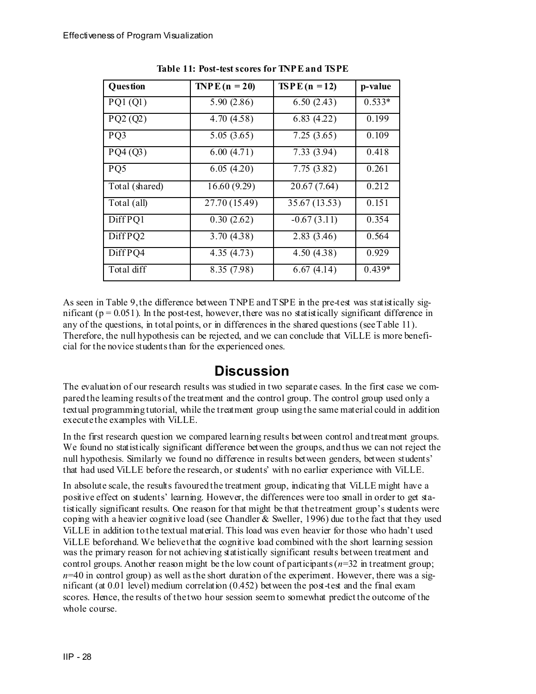| Question       | TNP E $(n = 20)$          | $TSPE(n = 12)$ | p-value  |
|----------------|---------------------------|----------------|----------|
| PQ1(Q1)        | 5.90(2.86)                | 6.50(2.43)     | $0.533*$ |
| PQ2(Q2)        | 4.70(4.58)                | 6.83(4.22)     | 0.199    |
| PQ3            | 5.05(3.65)                | 7.25(3.65)     | 0.109    |
| PQ4(Q3)        | 6.00(4.71)                | 7.33(3.94)     | 0.418    |
| PQ5            | 6.05(4.20)                | 7.75(3.82)     | 0.261    |
| Total (shared) | 16.60(9.29)               | 20.67(7.64)    | 0.212    |
| Total (all)    | $\overline{27.70(15.49)}$ | 35.67 (13.53)  | 0.151    |
| Diff PQ1       | 0.30(2.62)                | $-0.67(3.11)$  | 0.354    |
| Diff PQ2       | 3.70(4.38)                | 2.83(3.46)     | 0.564    |
| Diff PQ4       | 4.35(4.73)                | 4.50(4.38)     | 0.929    |
| Total diff     | 8.35 (7.98)               | 6.67(4.14)     | $0.439*$ |

**Table 11: Post-test scores for TNPE and TSPE** 

As seen in Table 9, the difference between TNPE and TSPE in the pre-test was statistically significant ( $p = 0.051$ ). In the post-test, however, there was no statistically significant difference in any of the questions, in total points, or in differences in the shared questions (see Table 11). Therefore, the null hypothesis can be rejected, and we can conclude that ViLLE is more beneficial for the novice students than for the experienced ones.

## **Discussion**

The evaluation of our research results was studied in two separate cases. In the first case we compared the learning results of the treatment and the control group. The control group used only a textual programming tutorial, while the treatment group using the same material could in addition execute the examples with ViLLE.

In the first research question we compared learning results between control and treatment groups. We found no statistically significant difference between the groups, and thus we can not reject the null hypothesis. Similarly we found no difference in results between genders, between students' that had used ViLLE before the research, or students' with no earlier experience with ViLLE.

In absolute scale, the results favoured the treatment group, indicating that ViLLE might have a positive effect on students' learning. However, the differences were too small in order to get statistically significant results. One reason for that might be that the treatment group's students were coping with a heavier cognitive load (see Chandler & Sweller, 1996) due to the fact that they used ViLLE in addition to the textual material. This load was even heavier for those who hadn't used ViLLE beforehand. We believe that the cognitive load combined with the short learning session was the primary reason for not achieving statistically significant results between treatment and control groups. Another reason might be the low count of participants  $(n=32)$  in treatment group;  $n=40$  in control group) as well as the short duration of the experiment. However, there was a significant (at  $0.01$  level) medium correlation  $(0.452)$  between the post-test and the final exam scores. Hence, the results of the two hour session seem to somewhat predict the outcome of the whole course.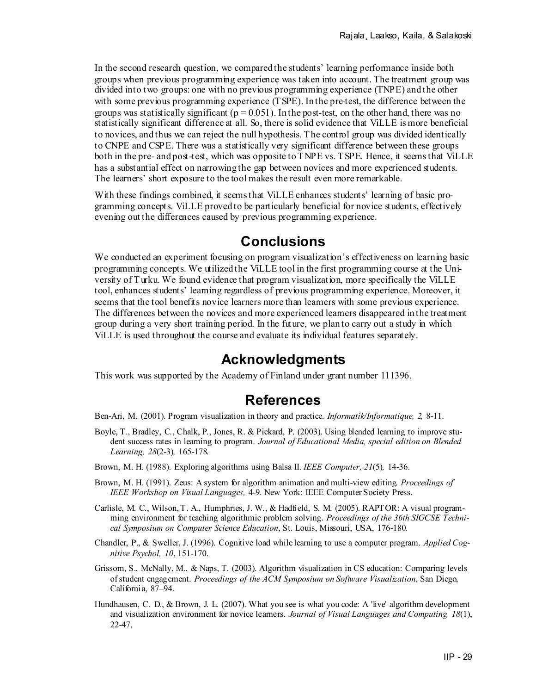In the second research question, we compared the students' learning performance inside both groups when previous programming experience was taken into account. The treatment group was divided into two groups: one with no previous programming experience (TNPE) and the other with some previous programming experience (TSPE). In the pre-test, the difference between the groups was statistically significant ( $p = 0.051$ ). In the post-test, on the other hand, there was no statistically significant difference at all. So, there is solid evidence that ViLLE is more beneficial to novices, and thus we can reject the null hypothesis. The control group was divided identically to CNPE and CSPE. There was a statistically very significant difference between these groups both in the pre- and post-test, which was opposite to TNPE vs. TSPE. Hence, it seems that ViLLE has a substantial effect on narrowing the gap between novices and more experienced students. The learners' short exposure to the tool makes the result even more remarkable.

With these findings combined, it seems that ViLLE enhances students' learning of basic programming concepts. ViLLE proved to be particularly beneficial for novice students, effectively evening out the differences caused by previous programming experience.

## **Conclusions**

We conducted an experiment focusing on program visualization's effectiveness on learning basic programming concepts. We utilized the ViLLE tool in the first programming course at the University of Turku. We found evidence that program visualization, more specifically the ViLLE tool, enhances students' learning regardless of previous programming experience. Moreover, it seems that the tool benefits novice learners more than learners with some previous experience. The differences between the novices and more experienced learners disappeared in the treatment group during a very short training period. In the future, we plan to carry out a study in which ViLLE is used throughout the course and evaluate its individual features separately.

### **Acknowledgments**

This work was supported by the Academy of Finland under grant number 111396.

# **References**

- Ben-Ari, M. (2001). Program visualization in theory and practice. *Informatik/Informatique, 2,* 8-11.
- Boyle, T., Bradley, C., Chalk, P., Jones, R. & Pickard, P. (2003). Using blended learning to improve student success rates in learning to program. *Journal of Educational Media, special edition on Blended Learning, 28*(2-3)*,* 165-178.
- Brown, M. H. (1988). Exploring algorithms using Balsa II. *IEEE Computer, 21*(5)*,* 14-36.
- Brown, M. H. (1991). Zeus: A system for algorithm animation and multi-view editing. *Proceedings of IEEE Workshop on Visual Languages,* 4-9. New York: IEEE Computer Society Press.
- Carlisle, M. C., Wilson, T. A., Humphries, J. W., & Hadfield, S. M. (2005). RAPTOR: A visual programming environment for teaching algorithmic problem solving. *Proceedings of the 36th SIGCSE Technical Symposium on Computer Science Education*, St. Louis, Missouri, USA, 176-180.
- Chandler, P., & Sweller, J. (1996). Cognitive load while learning to use a computer program. *Applied Cognitive Psychol, 10*, 151-170.
- Grissom, S., McNally, M., & Naps, T. (2003). Algorithm visualization in CS education: Comparing levels of student engagement. *Proceedings of the ACM Symposium on Software Visualization*, San Diego, California, 87–94.
- Hundhausen, C. D., & Brown, J. L. (2007). What you see is what you code: A 'live' algorithm development and visualization environment for novice learners. *Journal of Visual Languages and Computing, 18*(1), 22-47.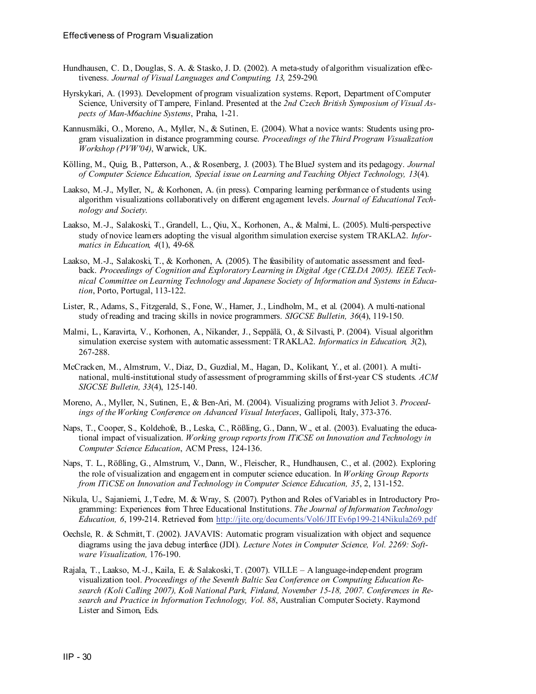- Hundhausen, C. D., Douglas, S. A. & Stasko, J. D. (2002). A meta-study of algorithm visualization effectiveness. *Journal of Visual Languages and Computing, 13*, 259-290.
- Hyrskykari, A. (1993). Development of program visualization systems. Report, Department of Computer Science, University of Tampere, Finland. Presented at the *2nd Czech British Symposium of Visual Aspects of Man-M6achine Systems*, Praha, 1-21.
- Kannusmäki, O., Moreno, A., Myller, N., & Sutinen, E. (2004). What a novice wants: Students using program visualization in distance programming course. *Proceedings of the Third Program Visualization Workshop (PVW'04)*, Warwick, UK.
- Kölling, M., Quig, B., Patterson, A., & Rosenberg, J. (2003). The BlueJ system and its pedagogy. *Journal of Computer Science Education, Special issue on Learning and Teaching Object Technology, 13*(4).
- Laakso, M.-J., Myller, N,. & Korhonen, A. (in press). Comparing learning performance of students using algorithm visualizations collaboratively on different engagement levels. *Journal of Educational Technology and Society*.
- Laakso, M.-J., Salakoski, T., Grandell, L., Qiu, X., Korhonen, A., & Malmi, L. (2005). Multi-perspective study of novice learners adopting the visual algorithm simulation exercise system TRAKLA2. *Informatics in Education, 4*(1), 49-68.
- Laakso, M.-J., Salakoski, T., & Korhonen, A. (2005). The feasibility of automatic assessment and feedback. *Proceedings of Cognition and Exploratory Learning in Digital Age (CELDA 2005). IEEE Technical Committee on Learning Technology and Japanese Society of Information and Systems in Education*, Porto, Portugal, 113-122.
- Lister, R., Adams, S., Fitzgerald, S., Fone, W., Hamer, J., Lindholm, M., et al. (2004). A multi-national study of reading and tracing skills in novice programmers. *SIGCSE Bulletin, 36*(4), 119-150.
- Malmi, L., Karavirta, V., Korhonen, A., Nikander, J., Seppälä, O., & Silvasti, P. (2004). Visual algorithm simulation exercise system with automatic assessment: TRAKLA2. *Informatics in Education, 3*(2), 267-288.
- McCracken, M., Almstrum, V., Diaz, D., Guzdial, M., Hagan, D., Kolikant, Y., et al. (2001). A multinational, multi-institutional study of assessment of programming skills of first-year CS students. *ACM SIGCSE Bulletin, 33*(4), 125-140.
- Moreno, A., Myller, N., Sutinen, E., & Ben-Ari, M. (2004). Visualizing programs with Jeliot 3. *Proceedings of the Working Conference on Advanced Visual Interfaces*, Gallipoli, Italy, 373-376.
- Naps, T., Cooper, S., Koldehofe, B., Leska, C., Rößling, G., Dann, W., et al. (2003). Evaluating the educational impact of visualization. *Working group reports from ITiCSE on Innovation and Technology in Computer Science Education*, ACM Press, 124-136.
- Naps, T. L., Rößling, G., Almstrum, V., Dann, W., Fleischer, R., Hundhausen, C., et al. (2002). Exploring the role of visualization and engagement in computer science education. In *Working Group Reports from ITiCSE on Innovation and Technology in Computer Science Education, 35*, 2, 131-152.
- Nikula, U., Sajaniemi, J., Tedre, M. & Wray, S. (2007). Python and Roles of Variables in Introductory Programming: Experiences from Three Educational Institutions. *The Journal of Information Technology Education, 6*, 199-214. Retrieved from <http://jite.org/documents/Vol6/JITEv6p199-214Nikula269.pdf>
- Oechsle, R. & Schmitt, T. (2002). JAVAVIS: Automatic program visualization with object and sequence diagrams using the java debug interface (JDI). *Lecture Notes in Computer Science, Vol. 2269: Software Visualization,* 176-190.
- Rajala, T., Laakso, M.-J., Kaila, E. & Salakoski, T. (2007). VILLE A language-independent program visualization tool. *Proceedings of the Seventh Baltic Sea Conference on Computing Education Research (Koli Calling 2007), Koli National Park, Finland, November 15-18, 2007. Conferences in Research and Practice in Information Technology, Vol. 88*, Australian Computer Society. Raymond Lister and Simon, Eds.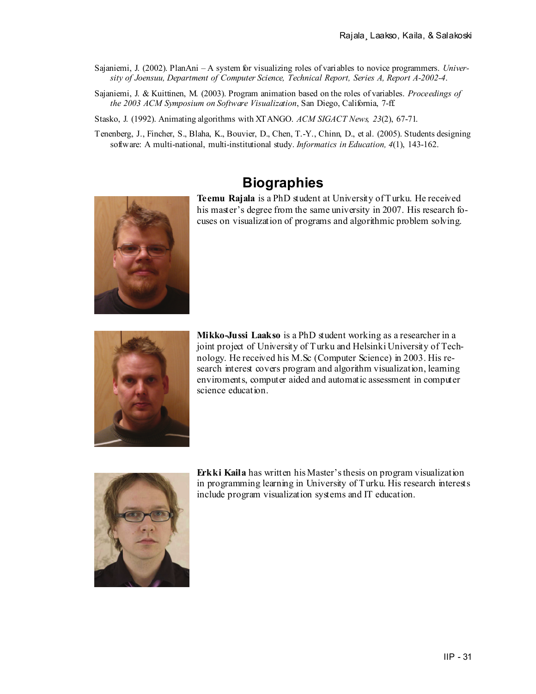- Sajaniemi, J. (2002). PlanAni A system for visualizing roles of variables to novice programmers. *University of Joensuu, Department of Computer Science, Technical Report, Series A, Report A-2002-4*.
- Sajaniemi, J. & Kuittinen, M. (2003). Program animation based on the roles of variables. *Proceedings of the 2003 ACM Symposium on Software Visualization*, San Diego, California, 7-ff.

Stasko, J. (1992). Animating algorithms with XTANGO. *ACM SIGACT News, 23*(2), 67-71.

Tenenberg, J., Fincher, S., Blaha, K., Bouvier, D., Chen, T.-Y., Chinn, D., et al. (2005). Students designing software: A multi-national, multi-institutional study. *Informatics in Education, 4*(1), 143-162.

## **Biographies**

**Teemu Rajala** is a PhD student at University of Turku. He received his master's degree from the same university in 2007. His research focuses on visualization of programs and algorithmic problem solving.



**Mikko-Jussi Laakso** is a PhD student working as a researcher in a joint project of University of Turku and Helsinki University of Technology. He received his M.Sc (Computer Science) in 2003. His research interest covers program and algorithm visualization, learning enviroments, computer aided and automatic assessment in computer science education.



**Erkki Kaila** has written his Master's thesis on program visualization in programming learning in University of Turku. His research interests include program visualization systems and IT education.